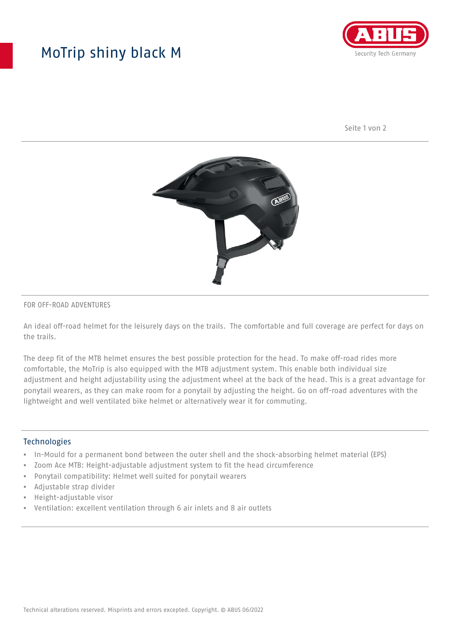## MoTrip shiny black M



Seite 1 von 2



#### FOR OFF-ROAD ADVENTURES

An ideal off-road helmet for the leisurely days on the trails. The comfortable and full coverage are perfect for days on the trails.

The deep fit of the MTB helmet ensures the best possible protection for the head. To make off-road rides more comfortable, the MoTrip is also equipped with the MTB adjustment system. This enable both individual size adjustment and height adjustability using the adjustment wheel at the back of the head. This is a great advantage for ponytail wearers, as they can make room for a ponytail by adjusting the height. Go on off-road adventures with the lightweight and well ventilated bike helmet or alternatively wear it for commuting.

### Technologies

- In-Mould for a permanent bond between the outer shell and the shock-absorbing helmet material (EPS)
- Zoom Ace MTB: Height-adjustable adjustment system to fit the head circumference
- Ponytail compatibility: Helmet well suited for ponytail wearers
- Adjustable strap divider
- Height-adjustable visor
- Ventilation: excellent ventilation through 6 air inlets and 8 air outlets